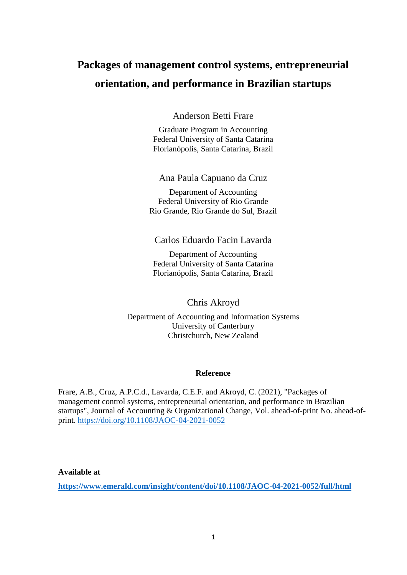# **Packages of management control systems, entrepreneurial orientation, and performance in Brazilian startups**

Anderson Betti Frare

Graduate Program in Accounting Federal University of Santa Catarina Florianópolis, Santa Catarina, Brazil

Ana Paula Capuano da Cruz

Department of Accounting Federal University of Rio Grande Rio Grande, Rio Grande do Sul, Brazil

Carlos Eduardo Facin Lavarda

Department of Accounting Federal University of Santa Catarina Florianópolis, Santa Catarina, Brazil

Chris Akroyd

Department of Accounting and Information Systems University of Canterbury Christchurch, New Zealand

# **Reference**

Frare, A.B., Cruz, A.P.C.d., Lavarda, C.E.F. and Akroyd, C. (2021), "Packages of management control systems, entrepreneurial orientation, and performance in Brazilian startups", Journal of Accounting & Organizational Change, Vol. ahead-of-print No. ahead-ofprint.<https://doi.org/10.1108/JAOC-04-2021-0052>

**Available at**

**<https://www.emerald.com/insight/content/doi/10.1108/JAOC-04-2021-0052/full/html>**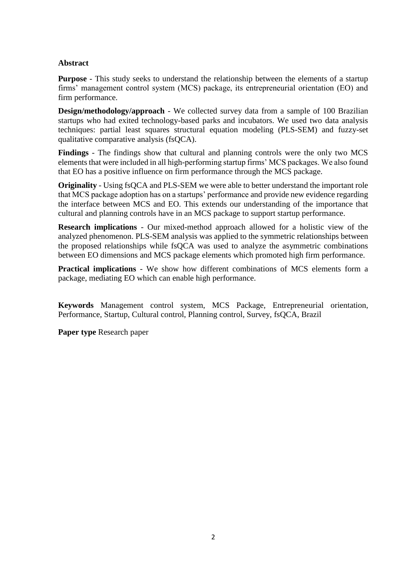# **Abstract**

**Purpose** - This study seeks to understand the relationship between the elements of a startup firms' management control system (MCS) package, its entrepreneurial orientation (EO) and firm performance.

**Design/methodology/approach** - We collected survey data from a sample of 100 Brazilian startups who had exited technology-based parks and incubators. We used two data analysis techniques: partial least squares structural equation modeling (PLS-SEM) and fuzzy-set qualitative comparative analysis (fsQCA).

**Findings** - The findings show that cultural and planning controls were the only two MCS elements that were included in all high-performing startup firms' MCS packages. We also found that EO has a positive influence on firm performance through the MCS package.

**Originality** - Using fsQCA and PLS-SEM we were able to better understand the important role that MCS package adoption has on a startups' performance and provide new evidence regarding the interface between MCS and EO. This extends our understanding of the importance that cultural and planning controls have in an MCS package to support startup performance.

**Research implications** - Our mixed-method approach allowed for a holistic view of the analyzed phenomenon. PLS-SEM analysis was applied to the symmetric relationships between the proposed relationships while fsQCA was used to analyze the asymmetric combinations between EO dimensions and MCS package elements which promoted high firm performance.

**Practical implications** - We show how different combinations of MCS elements form a package, mediating EO which can enable high performance.

**Keywords** Management control system, MCS Package, Entrepreneurial orientation, Performance, Startup, Cultural control, Planning control, Survey, fsQCA, Brazil

**Paper type** Research paper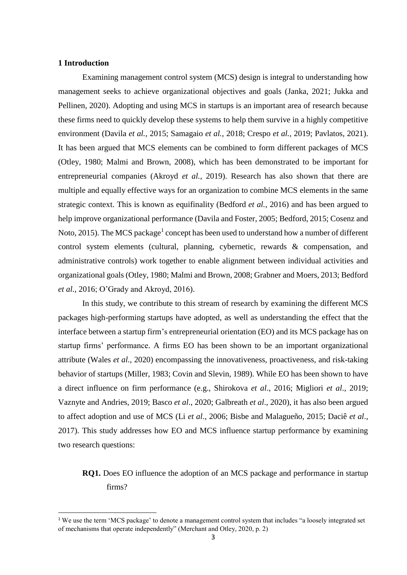# **1 Introduction**

1

Examining management control system (MCS) design is integral to understanding how management seeks to achieve organizational objectives and goals (Janka, 2021; Jukka and Pellinen, 2020). Adopting and using MCS in startups is an important area of research because these firms need to quickly develop these systems to help them survive in a highly competitive environment (Davila *et al.*, 2015; Samagaio *et al.*, 2018; Crespo *et al.*, 2019; Pavlatos, 2021). It has been argued that MCS elements can be combined to form different packages of MCS (Otley, 1980; Malmi and Brown, 2008), which has been demonstrated to be important for entrepreneurial companies (Akroyd *et al.*, 2019). Research has also shown that there are multiple and equally effective ways for an organization to combine MCS elements in the same strategic context. This is known as equifinality (Bedford *et al.*, 2016) and has been argued to help improve organizational performance (Davila and Foster, 2005; Bedford, 2015; Cosenz and Noto, 2015). The MCS package<sup>1</sup> concept has been used to understand how a number of different control system elements (cultural, planning, cybernetic, rewards & compensation, and administrative controls) work together to enable alignment between individual activities and organizational goals (Otley, 1980; Malmi and Brown, 2008; Grabner and Moers, 2013; Bedford *et al.*, 2016; O'Grady and Akroyd, 2016).

In this study, we contribute to this stream of research by examining the different MCS packages high-performing startups have adopted, as well as understanding the effect that the interface between a startup firm's entrepreneurial orientation (EO) and its MCS package has on startup firms' performance. A firms EO has been shown to be an important organizational attribute (Wales *et al.*, 2020) encompassing the innovativeness, proactiveness, and risk-taking behavior of startups (Miller, 1983; Covin and Slevin, 1989). While EO has been shown to have a direct influence on firm performance (e.g., Shirokova *et al*., 2016; Migliori *et al*., 2019; Vaznyte and Andries, 2019; Basco *et al*., 2020; Galbreath *et al*., 2020), it has also been argued to affect adoption and use of MCS (Li *et al*., 2006; Bisbe and Malagueño, 2015; Daciê *et al*., 2017). This study addresses how EO and MCS influence startup performance by examining two research questions:

# **RQ1.** Does EO influence the adoption of an MCS package and performance in startup firms?

<sup>1</sup> We use the term 'MCS package' to denote a management control system that includes "a loosely integrated set of mechanisms that operate independently" (Merchant and Otley, 2020, p. 2)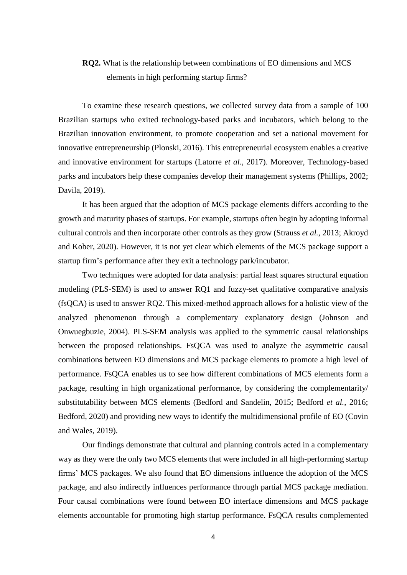# **RQ2.** What is the relationship between combinations of EO dimensions and MCS elements in high performing startup firms?

To examine these research questions, we collected survey data from a sample of 100 Brazilian startups who exited technology-based parks and incubators, which belong to the Brazilian innovation environment, to promote cooperation and set a national movement for innovative entrepreneurship (Plonski, 2016). This entrepreneurial ecosystem enables a creative and innovative environment for startups (Latorre *et al.*, 2017). Moreover, Technology-based parks and incubators help these companies develop their management systems (Phillips, 2002; Davila, 2019).

It has been argued that the adoption of MCS package elements differs according to the growth and maturity phases of startups. For example, startups often begin by adopting informal cultural controls and then incorporate other controls as they grow (Strauss *et al.,* 2013; Akroyd and Kober, 2020). However, it is not yet clear which elements of the MCS package support a startup firm's performance after they exit a technology park/incubator.

Two techniques were adopted for data analysis: partial least squares structural equation modeling (PLS-SEM) is used to answer RQ1 and fuzzy-set qualitative comparative analysis (fsQCA) is used to answer RQ2. This mixed-method approach allows for a holistic view of the analyzed phenomenon through a complementary explanatory design (Johnson and Onwuegbuzie, 2004). PLS-SEM analysis was applied to the symmetric causal relationships between the proposed relationships. FsQCA was used to analyze the asymmetric causal combinations between EO dimensions and MCS package elements to promote a high level of performance. FsQCA enables us to see how different combinations of MCS elements form a package, resulting in high organizational performance, by considering the complementarity/ substitutability between MCS elements (Bedford and Sandelin, 2015; Bedford *et al.*, 2016; Bedford, 2020) and providing new ways to identify the multidimensional profile of EO (Covin and Wales, 2019).

Our findings demonstrate that cultural and planning controls acted in a complementary way as they were the only two MCS elements that were included in all high-performing startup firms' MCS packages. We also found that EO dimensions influence the adoption of the MCS package, and also indirectly influences performance through partial MCS package mediation. Four causal combinations were found between EO interface dimensions and MCS package elements accountable for promoting high startup performance. FsQCA results complemented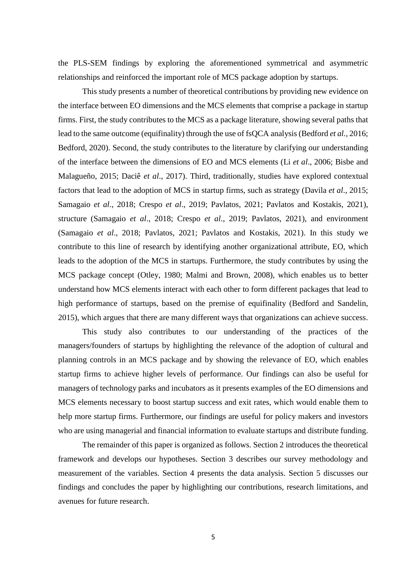the PLS-SEM findings by exploring the aforementioned symmetrical and asymmetric relationships and reinforced the important role of MCS package adoption by startups.

This study presents a number of theoretical contributions by providing new evidence on the interface between EO dimensions and the MCS elements that comprise a package in startup firms. First, the study contributes to the MCS as a package literature, showing several paths that lead to the same outcome (equifinality) through the use of fsQCA analysis (Bedford *et al.,* 2016; Bedford, 2020). Second, the study contributes to the literature by clarifying our understanding of the interface between the dimensions of EO and MCS elements (Li *et al*., 2006; Bisbe and Malagueño, 2015; Daciê *et al*., 2017). Third, traditionally, studies have explored contextual factors that lead to the adoption of MCS in startup firms, such as strategy (Davila *et al*., 2015; Samagaio *et al*., 2018; Crespo *et al*., 2019; Pavlatos, 2021; Pavlatos and Kostakis, 2021), structure (Samagaio *et al*., 2018; Crespo *et al*., 2019; Pavlatos, 2021), and environment (Samagaio *et al*., 2018; Pavlatos, 2021; Pavlatos and Kostakis, 2021). In this study we contribute to this line of research by identifying another organizational attribute, EO, which leads to the adoption of the MCS in startups. Furthermore, the study contributes by using the MCS package concept (Otley, 1980; Malmi and Brown, 2008), which enables us to better understand how MCS elements interact with each other to form different packages that lead to high performance of startups, based on the premise of equifinality (Bedford and Sandelin, 2015), which argues that there are many different ways that organizations can achieve success.

This study also contributes to our understanding of the practices of the managers/founders of startups by highlighting the relevance of the adoption of cultural and planning controls in an MCS package and by showing the relevance of EO, which enables startup firms to achieve higher levels of performance. Our findings can also be useful for managers of technology parks and incubators as it presents examples of the EO dimensions and MCS elements necessary to boost startup success and exit rates, which would enable them to help more startup firms. Furthermore, our findings are useful for policy makers and investors who are using managerial and financial information to evaluate startups and distribute funding.

The remainder of this paper is organized as follows. Section 2 introduces the theoretical framework and develops our hypotheses. Section 3 describes our survey methodology and measurement of the variables. Section 4 presents the data analysis. Section 5 discusses our findings and concludes the paper by highlighting our contributions, research limitations, and avenues for future research.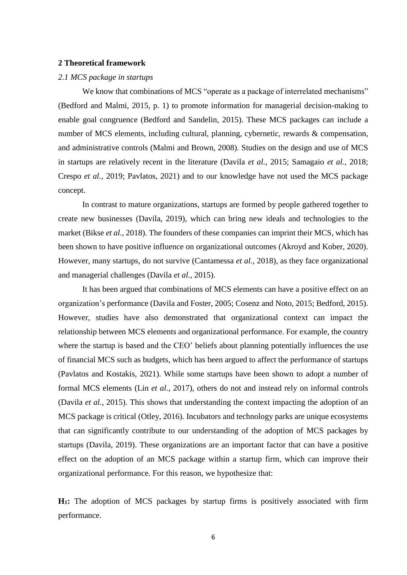#### **2 Theoretical framework**

#### *2.1 MCS package in startups*

We know that combinations of MCS "operate as a package of interrelated mechanisms" (Bedford and Malmi, 2015, p. 1) to promote information for managerial decision-making to enable goal congruence (Bedford and Sandelin, 2015). These MCS packages can include a number of MCS elements, including cultural, planning, cybernetic, rewards & compensation, and administrative controls (Malmi and Brown, 2008). Studies on the design and use of MCS in startups are relatively recent in the literature (Davila *et al.*, 2015; Samagaio *et al.*, 2018; Crespo *et al.*, 2019; Pavlatos, 2021) and to our knowledge have not used the MCS package concept.

In contrast to mature organizations, startups are formed by people gathered together to create new businesses (Davila, 2019), which can bring new ideals and technologies to the market (Bikse *et al.*, 2018). The founders of these companies can imprint their MCS, which has been shown to have positive influence on organizational outcomes (Akroyd and Kober, 2020). However, many startups, do not survive (Cantamessa *et al.*, 2018), as they face organizational and managerial challenges (Davila *et al.*, 2015).

It has been argued that combinations of MCS elements can have a positive effect on an organization's performance (Davila and Foster, 2005; Cosenz and Noto, 2015; Bedford, 2015). However, studies have also demonstrated that organizational context can impact the relationship between MCS elements and organizational performance. For example, the country where the startup is based and the CEO' beliefs about planning potentially influences the use of financial MCS such as budgets, which has been argued to affect the performance of startups (Pavlatos and Kostakis, 2021). While some startups have been shown to adopt a number of formal MCS elements (Lin *et al.,* 2017), others do not and instead rely on informal controls (Davila *et al.*, 2015). This shows that understanding the context impacting the adoption of an MCS package is critical (Otley, 2016). Incubators and technology parks are unique ecosystems that can significantly contribute to our understanding of the adoption of MCS packages by startups (Davila, 2019). These organizations are an important factor that can have a positive effect on the adoption of an MCS package within a startup firm, which can improve their organizational performance. For this reason, we hypothesize that:

**H1:** The adoption of MCS packages by startup firms is positively associated with firm performance.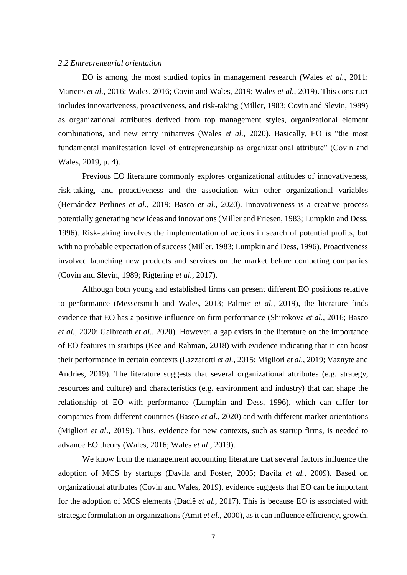# *2.2 Entrepreneurial orientation*

EO is among the most studied topics in management research (Wales *et al.*, 2011; Martens *et al.*, 2016; Wales, 2016; Covin and Wales, 2019; Wales *et al.*, 2019). This construct includes innovativeness, proactiveness, and risk-taking (Miller, 1983; Covin and Slevin, 1989) as organizational attributes derived from top management styles, organizational element combinations, and new entry initiatives (Wales *et al.*, 2020). Basically, EO is "the most fundamental manifestation level of entrepreneurship as organizational attribute" (Covin and Wales, 2019, p. 4).

Previous EO literature commonly explores organizational attitudes of innovativeness, risk-taking, and proactiveness and the association with other organizational variables (Hernández-Perlines *et al.*, 2019; Basco *et al.*, 2020). Innovativeness is a creative process potentially generating new ideas and innovations (Miller and Friesen, 1983; Lumpkin and Dess, 1996). Risk-taking involves the implementation of actions in search of potential profits, but with no probable expectation of success (Miller, 1983; Lumpkin and Dess, 1996). Proactiveness involved launching new products and services on the market before competing companies (Covin and Slevin, 1989; Rigtering *et al.,* 2017).

Although both young and established firms can present different EO positions relative to performance (Messersmith and Wales, 2013; Palmer *et al.,* 2019), the literature finds evidence that EO has a positive influence on firm performance (Shirokova *et al.*, 2016; Basco *et al.*, 2020; Galbreath *et al.*, 2020). However, a gap exists in the literature on the importance of EO features in startups (Kee and Rahman, 2018) with evidence indicating that it can boost their performance in certain contexts (Lazzarotti *et al.*, 2015; Migliori *et al.*, 2019; Vaznyte and Andries, 2019). The literature suggests that several organizational attributes (e.g. strategy, resources and culture) and characteristics (e.g. environment and industry) that can shape the relationship of EO with performance (Lumpkin and Dess, 1996), which can differ for companies from different countries (Basco *et al*., 2020) and with different market orientations (Migliori *et al*., 2019). Thus, evidence for new contexts, such as startup firms, is needed to advance EO theory (Wales, 2016; Wales *et al*., 2019).

We know from the management accounting literature that several factors influence the adoption of MCS by startups (Davila and Foster, 2005; Davila *et al.*, 2009). Based on organizational attributes (Covin and Wales, 2019), evidence suggests that EO can be important for the adoption of MCS elements (Daciê *et al.*, 2017). This is because EO is associated with strategic formulation in organizations (Amit *et al.,* 2000), as it can influence efficiency, growth,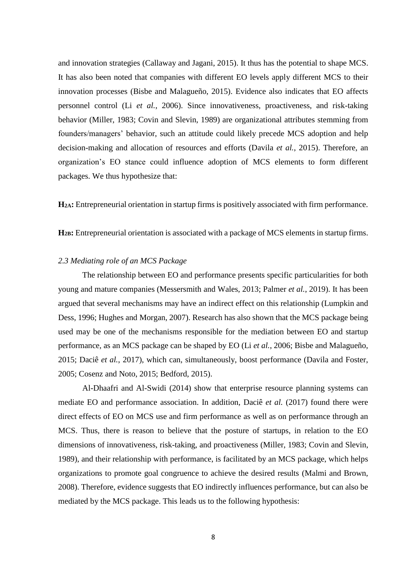and innovation strategies (Callaway and Jagani, 2015). It thus has the potential to shape MCS. It has also been noted that companies with different EO levels apply different MCS to their innovation processes (Bisbe and Malagueño, 2015). Evidence also indicates that EO affects personnel control (Li *et al.*, 2006). Since innovativeness, proactiveness, and risk-taking behavior (Miller, 1983; Covin and Slevin, 1989) are organizational attributes stemming from founders/managers' behavior, such an attitude could likely precede MCS adoption and help decision-making and allocation of resources and efforts (Davila *et al.*, 2015). Therefore, an organization's EO stance could influence adoption of MCS elements to form different packages. We thus hypothesize that:

**H2A:** Entrepreneurial orientation in startup firms is positively associated with firm performance.

**H2B:** Entrepreneurial orientation is associated with a package of MCS elements in startup firms.

#### *2.3 Mediating role of an MCS Package*

The relationship between EO and performance presents specific particularities for both young and mature companies (Messersmith and Wales, 2013; Palmer *et al.*, 2019). It has been argued that several mechanisms may have an indirect effect on this relationship (Lumpkin and Dess, 1996; Hughes and Morgan, 2007). Research has also shown that the MCS package being used may be one of the mechanisms responsible for the mediation between EO and startup performance, as an MCS package can be shaped by EO (Li *et al.*, 2006; Bisbe and Malagueño, 2015; Daciê *et al.*, 2017), which can, simultaneously, boost performance (Davila and Foster, 2005; Cosenz and Noto, 2015; Bedford, 2015).

Al-Dhaafri and Al-Swidi (2014) show that enterprise resource planning systems can mediate EO and performance association. In addition, Daciê *et al.* (2017) found there were direct effects of EO on MCS use and firm performance as well as on performance through an MCS. Thus, there is reason to believe that the posture of startups, in relation to the EO dimensions of innovativeness, risk-taking, and proactiveness (Miller, 1983; Covin and Slevin, 1989), and their relationship with performance, is facilitated by an MCS package, which helps organizations to promote goal congruence to achieve the desired results (Malmi and Brown, 2008). Therefore, evidence suggests that EO indirectly influences performance, but can also be mediated by the MCS package. This leads us to the following hypothesis: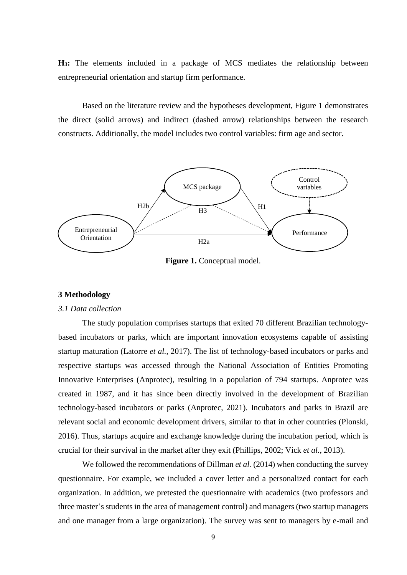**H3:** The elements included in a package of MCS mediates the relationship between entrepreneurial orientation and startup firm performance.

Based on the literature review and the hypotheses development, Figure 1 demonstrates the direct (solid arrows) and indirect (dashed arrow) relationships between the research constructs. Additionally, the model includes two control variables: firm age and sector.



**Figure 1.** Conceptual model.

# **3 Methodology**

#### *3.1 Data collection*

The study population comprises startups that exited 70 different Brazilian technologybased incubators or parks, which are important innovation ecosystems capable of assisting startup maturation (Latorre *et al.*, 2017). The list of technology-based incubators or parks and respective startups was accessed through the National Association of Entities Promoting Innovative Enterprises (Anprotec), resulting in a population of 794 startups. Anprotec was created in 1987, and it has since been directly involved in the development of Brazilian technology-based incubators or parks (Anprotec, 2021). Incubators and parks in Brazil are relevant social and economic development drivers, similar to that in other countries (Plonski, 2016). Thus, startups acquire and exchange knowledge during the incubation period, which is crucial for their survival in the market after they exit (Phillips, 2002; Vick *et al.*, 2013).

We followed the recommendations of Dillman *et al.* (2014) when conducting the survey questionnaire. For example, we included a cover letter and a personalized contact for each organization. In addition, we pretested the questionnaire with academics (two professors and three master's students in the area of management control) and managers (two startup managers and one manager from a large organization). The survey was sent to managers by e-mail and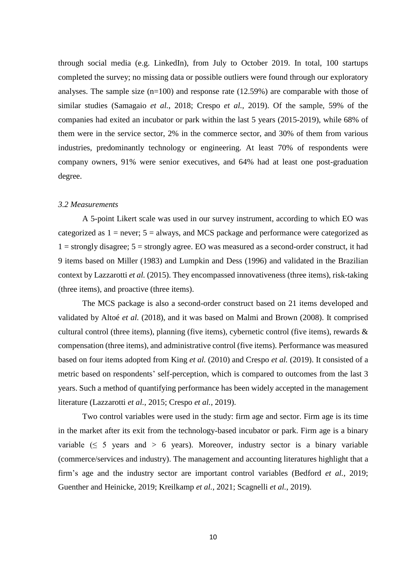through social media (e.g. LinkedIn), from July to October 2019. In total, 100 startups completed the survey; no missing data or possible outliers were found through our exploratory analyses. The sample size  $(n=100)$  and response rate (12.59%) are comparable with those of similar studies (Samagaio *et al.*, 2018; Crespo *et al.*, 2019). Of the sample, 59% of the companies had exited an incubator or park within the last 5 years (2015-2019), while 68% of them were in the service sector, 2% in the commerce sector, and 30% of them from various industries, predominantly technology or engineering. At least 70% of respondents were company owners, 91% were senior executives, and 64% had at least one post-graduation degree.

# *3.2 Measurements*

A 5-point Likert scale was used in our survey instrument, according to which EO was categorized as  $1 =$  never;  $5 =$  always, and MCS package and performance were categorized as  $1 =$  strongly disagree;  $5 =$  strongly agree. EO was measured as a second-order construct, it had 9 items based on Miller (1983) and Lumpkin and Dess (1996) and validated in the Brazilian context by Lazzarotti *et al.* (2015). They encompassed innovativeness (three items), risk-taking (three items), and proactive (three items).

The MCS package is also a second-order construct based on 21 items developed and validated by Altoé *et al.* (2018), and it was based on Malmi and Brown (2008). It comprised cultural control (three items), planning (five items), cybernetic control (five items), rewards & compensation (three items), and administrative control (five items). Performance was measured based on four items adopted from King *et al.* (2010) and Crespo *et al.* (2019). It consisted of a metric based on respondents' self-perception, which is compared to outcomes from the last 3 years. Such a method of quantifying performance has been widely accepted in the management literature (Lazzarotti *et al.*, 2015; Crespo *et al.*, 2019).

Two control variables were used in the study: firm age and sector. Firm age is its time in the market after its exit from the technology-based incubator or park. Firm age is a binary variable ( $\leq 5$  years and  $> 6$  years). Moreover, industry sector is a binary variable (commerce/services and industry). The management and accounting literatures highlight that a firm's age and the industry sector are important control variables (Bedford *et al.*, 2019; Guenther and Heinicke, 2019; Kreilkamp *et al.*, 2021; Scagnelli *et al.*, 2019).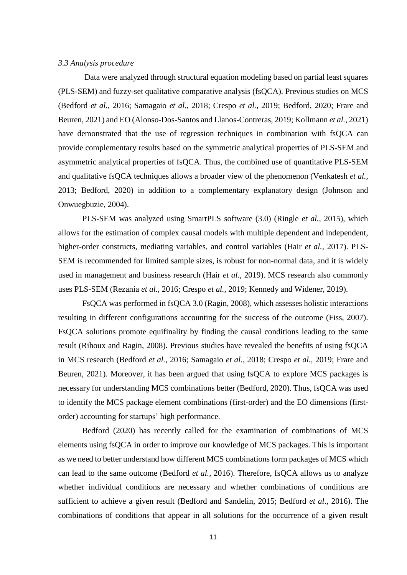# *3.3 Analysis procedure*

Data were analyzed through structural equation modeling based on partial least squares (PLS-SEM) and fuzzy-set qualitative comparative analysis (fsQCA). Previous studies on MCS (Bedford *et al.*, 2016; Samagaio *et al.*, 2018; Crespo *et al.*, 2019; Bedford, 2020; Frare and Beuren, 2021) and EO (Alonso-Dos-Santos and Llanos-Contreras, 2019; Kollmann *et al.*, 2021) have demonstrated that the use of regression techniques in combination with fsQCA can provide complementary results based on the symmetric analytical properties of PLS-SEM and asymmetric analytical properties of fsQCA. Thus, the combined use of quantitative PLS-SEM and qualitative fsQCA techniques allows a broader view of the phenomenon (Venkatesh *et al.,* 2013; Bedford, 2020) in addition to a complementary explanatory design (Johnson and Onwuegbuzie, 2004).

PLS-SEM was analyzed using SmartPLS software (3.0) (Ringle *et al.*, 2015), which allows for the estimation of complex causal models with multiple dependent and independent, higher-order constructs, mediating variables, and control variables (Hair *et al.*, 2017). PLS-SEM is recommended for limited sample sizes, is robust for non-normal data, and it is widely used in management and business research (Hair *et al.*, 2019). MCS research also commonly uses PLS-SEM (Rezania *et al.*, 2016; Crespo *et al.*, 2019; Kennedy and Widener, 2019).

FsQCA was performed in fsQCA 3.0 (Ragin, 2008), which assesses holistic interactions resulting in different configurations accounting for the success of the outcome (Fiss, 2007). FsQCA solutions promote equifinality by finding the causal conditions leading to the same result (Rihoux and Ragin, 2008). Previous studies have revealed the benefits of using fsQCA in MCS research (Bedford *et al.*, 2016; Samagaio *et al.*, 2018; Crespo *et al.*, 2019; Frare and Beuren, 2021). Moreover, it has been argued that using fsQCA to explore MCS packages is necessary for understanding MCS combinations better (Bedford, 2020). Thus, fsQCA was used to identify the MCS package element combinations (first-order) and the EO dimensions (firstorder) accounting for startups' high performance.

Bedford (2020) has recently called for the examination of combinations of MCS elements using fsQCA in order to improve our knowledge of MCS packages. This is important as we need to better understand how different MCS combinations form packages of MCS which can lead to the same outcome (Bedford *et al.*, 2016). Therefore, fsQCA allows us to analyze whether individual conditions are necessary and whether combinations of conditions are sufficient to achieve a given result (Bedford and Sandelin, 2015; Bedford *et al*., 2016). The combinations of conditions that appear in all solutions for the occurrence of a given result

11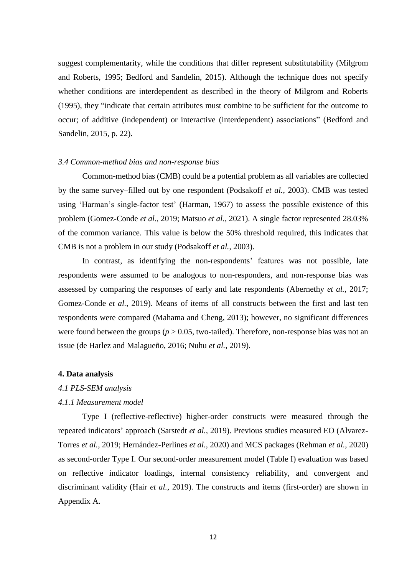suggest complementarity, while the conditions that differ represent substitutability (Milgrom and Roberts, 1995; Bedford and Sandelin, 2015). Although the technique does not specify whether conditions are interdependent as described in the theory of Milgrom and Roberts (1995), they "indicate that certain attributes must combine to be sufficient for the outcome to occur; of additive (independent) or interactive (interdependent) associations" (Bedford and Sandelin, 2015, p. 22).

#### *3.4 Common-method bias and non-response bias*

Common-method bias (CMB) could be a potential problem as all variables are collected by the same survey–filled out by one respondent (Podsakoff *et al.*, 2003). CMB was tested using 'Harman's single-factor test' (Harman, 1967) to assess the possible existence of this problem (Gomez-Conde *et al.*, 2019; Matsuo *et al.*, 2021). A single factor represented 28.03% of the common variance. This value is below the 50% threshold required, this indicates that CMB is not a problem in our study (Podsakoff *et al.*, 2003).

In contrast, as identifying the non-respondents' features was not possible, late respondents were assumed to be analogous to non-responders, and non-response bias was assessed by comparing the responses of early and late respondents (Abernethy *et al.*, 2017; Gomez-Conde *et al.*, 2019). Means of items of all constructs between the first and last ten respondents were compared (Mahama and Cheng, 2013); however, no significant differences were found between the groups ( $p > 0.05$ , two-tailed). Therefore, non-response bias was not an issue (de Harlez and Malagueño, 2016; Nuhu *et al.*, 2019).

#### **4. Data analysis**

#### *4.1 PLS-SEM analysis*

# *4.1.1 Measurement model*

Type I (reflective-reflective) higher-order constructs were measured through the repeated indicators' approach (Sarstedt *et al.*, 2019). Previous studies measured EO (Alvarez-Torres *et al.*, 2019; Hernández-Perlines *et al.*, 2020) and MCS packages (Rehman *et al.*, 2020) as second-order Type I. Our second-order measurement model (Table Ⅰ) evaluation was based on reflective indicator loadings, internal consistency reliability, and convergent and discriminant validity (Hair *et al.*, 2019). The constructs and items (first-order) are shown in Appendix A.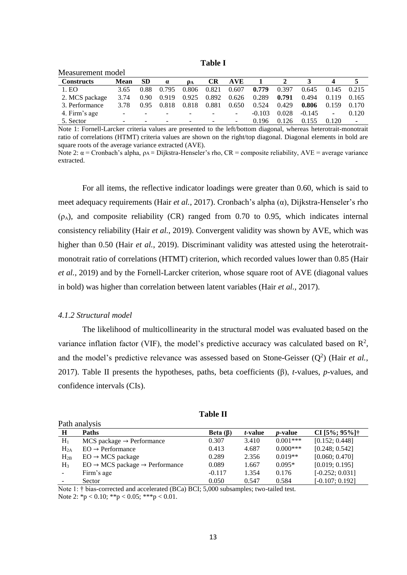**Table Ⅰ**

| Measurement model |             |           |                          |       |                          |                          |          |       |          |                |       |
|-------------------|-------------|-----------|--------------------------|-------|--------------------------|--------------------------|----------|-------|----------|----------------|-------|
| <b>Constructs</b> | <b>Mean</b> | <b>SD</b> | $\alpha$                 | OА    | <b>CR</b>                | <b>AVE</b>               |          |       |          |                |       |
| 1. EO             | 3.65        | 0.88      | 0.795                    | 0.806 | 0.821                    | 0.607                    | 0.779    | 0.397 | 0.645    | 0.145          | 0.215 |
| 2. MCS package    | 3.74        | 0.90      | 0.919                    | 0.925 | 0.892                    | 0.626                    | 0.289    | 0.791 | 0.494    | 0.119          | 0.165 |
| 3. Performance    | 3.78        | 0.95      | 0.818                    | 0.818 | 0.881                    | 0.650                    | 0.524    | 0.429 | 0.806    | 0.159          | 0.170 |
| 4. Firm's age     |             | $\sim$    | $\overline{\phantom{a}}$ |       | $\overline{\phantom{a}}$ | ٠.                       | $-0.103$ | 0.028 | $-0.145$ | $\blacksquare$ | 0.120 |
| 5. Sector         |             | -         | $\overline{\phantom{a}}$ |       |                          | $\overline{\phantom{0}}$ | 0.196    | 0.126 | 0.155    | 0.120          | ٠     |

Note 1: Fornell-Larcker criteria values are presented to the left/bottom diagonal, whereas heterotrait-monotrait ratio of correlations (HTMT) criteria values are shown on the right/top diagonal. Diagonal elements in bold are square roots of the average variance extracted (AVE).

Note 2:  $\alpha$  = Cronbach's alpha,  $ρ_A = Dijkstra$ -Henseler's rho, CR = composite reliability, AVE = average variance extracted.

For all items, the reflective indicator loadings were greater than 0.60, which is said to meet adequacy requirements (Hair *et al.*, 2017). Cronbach's alpha (α), Dijkstra-Henseler's rho  $(\rho_A)$ , and composite reliability (CR) ranged from 0.70 to 0.95, which indicates internal consistency reliability (Hair *et al.*, 2019). Convergent validity was shown by AVE, which was higher than 0.50 (Hair *et al.*, 2019). Discriminant validity was attested using the heterotraitmonotrait ratio of correlations (HTMT) criterion, which recorded values lower than 0.85 (Hair *et al.*, 2019) and by the Fornell-Larcker criterion, whose square root of AVE (diagonal values in bold) was higher than correlation between latent variables (Hair *et al.*, 2017).

# *4.1.2 Structural model*

The likelihood of multicollinearity in the structural model was evaluated based on the variance inflation factor (VIF), the model's predictive accuracy was calculated based on  $\mathbb{R}^2$ , and the model's predictive relevance was assessed based on Stone-Geisser  $(Q^2)$  (Hair *et al.*, 2017). Table Ⅱ presents the hypotheses, paths, beta coefficients (β), *t*-values, *p*-values, and confidence intervals (CIs).

| Path analysis |                                                        |                |                 |                 |                   |  |
|---------------|--------------------------------------------------------|----------------|-----------------|-----------------|-------------------|--|
| H             | <b>Paths</b>                                           | Beta $(\beta)$ | <i>t</i> -value | <i>p</i> -value | CI [5%; 95%]†     |  |
| $H_1$         | $MCS$ package $\rightarrow$ Performance                | 0.307          | 3.410           | $0.001***$      | [0.152; 0.448]    |  |
| $H_{2A}$      | $EO \rightarrow Performance$                           | 0.413          | 4.687           | $0.000***$      | [0.248; 0.542]    |  |
| $H_{2B}$      | $EO \rightarrow MCS$ package                           | 0.289          | 2.356           | $0.019**$       | [0.060; 0.470]    |  |
| $H_3$         | $EO \rightarrow MCS$ package $\rightarrow$ Performance | 0.089          | 1.667           | $0.095*$        | [0.019; 0.195]    |  |
|               | Firm's age                                             | $-0.117$       | 1.354           | 0.176           | $[-0.252; 0.031]$ |  |
|               | Sector                                                 | 0.050          | 0.547           | 0.584           | $[-0.107; 0.192]$ |  |

**Table Ⅱ**

Note 1: † bias-corrected and accelerated (BCa) BCI; 5,000 subsamples; two-tailed test. Note 2:  $*_{p}$  < 0.10;  $*_{p}$  < 0.05;  $*_{p}$  < 0.01.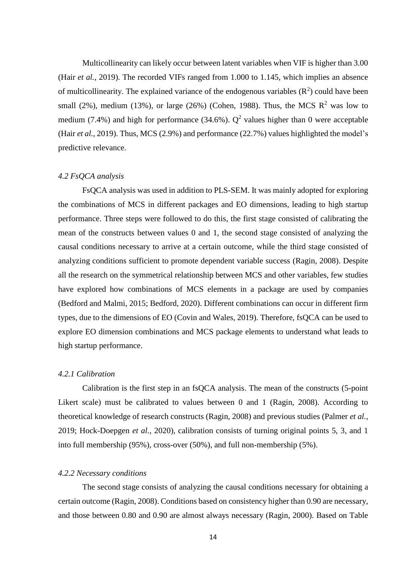Multicollinearity can likely occur between latent variables when VIF is higher than 3.00 (Hair *et al.*, 2019). The recorded VIFs ranged from 1.000 to 1.145, which implies an absence of multicollinearity. The explained variance of the endogenous variables  $(R^2)$  could have been small (2%), medium (13%), or large (26%) (Cohen, 1988). Thus, the MCS  $\mathbb{R}^2$  was low to medium (7.4%) and high for performance (34.6%).  $Q^2$  values higher than 0 were acceptable (Hair *et al.*, 2019). Thus, MCS (2.9%) and performance (22.7%) values highlighted the model's predictive relevance.

# *4.2 FsQCA analysis*

FsQCA analysis was used in addition to PLS-SEM. It was mainly adopted for exploring the combinations of MCS in different packages and EO dimensions, leading to high startup performance. Three steps were followed to do this, the first stage consisted of calibrating the mean of the constructs between values 0 and 1, the second stage consisted of analyzing the causal conditions necessary to arrive at a certain outcome, while the third stage consisted of analyzing conditions sufficient to promote dependent variable success (Ragin, 2008). Despite all the research on the symmetrical relationship between MCS and other variables, few studies have explored how combinations of MCS elements in a package are used by companies (Bedford and Malmi, 2015; Bedford, 2020). Different combinations can occur in different firm types, due to the dimensions of EO (Covin and Wales, 2019). Therefore, fsQCA can be used to explore EO dimension combinations and MCS package elements to understand what leads to high startup performance.

#### *4.2.1 Calibration*

Calibration is the first step in an fsQCA analysis. The mean of the constructs (5-point Likert scale) must be calibrated to values between 0 and 1 (Ragin, 2008). According to theoretical knowledge of research constructs (Ragin, 2008) and previous studies (Palmer *et al.*, 2019; Hock-Doepgen *et al.,* 2020), calibration consists of turning original points 5, 3, and 1 into full membership (95%), cross-over (50%), and full non-membership (5%).

#### *4.2.2 Necessary conditions*

The second stage consists of analyzing the causal conditions necessary for obtaining a certain outcome (Ragin, 2008). Conditions based on consistency higher than 0.90 are necessary, and those between 0.80 and 0.90 are almost always necessary (Ragin, 2000). Based on Table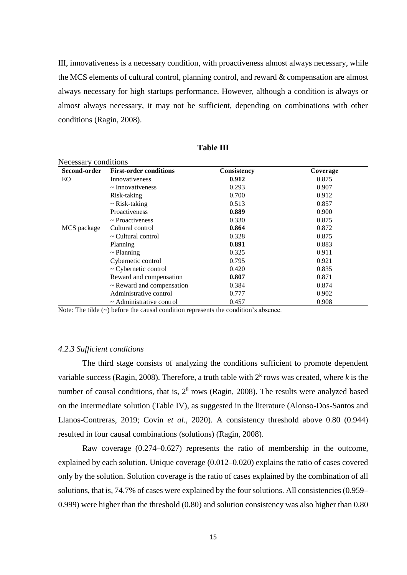Ⅲ, innovativeness is a necessary condition, with proactiveness almost always necessary, while the MCS elements of cultural control, planning control, and reward & compensation are almost always necessary for high startups performance. However, although a condition is always or almost always necessary, it may not be sufficient, depending on combinations with other conditions (Ragin, 2008).

| Second-order | <b>First-order conditions</b>  | Consistency | Coverage |
|--------------|--------------------------------|-------------|----------|
| EO           | Innovativeness                 | 0.912       | 0.875    |
|              | $\sim$ Innovativeness          | 0.293       | 0.907    |
|              | Risk-taking                    | 0.700       | 0.912    |
|              | $\sim$ Risk-taking             | 0.513       | 0.857    |
|              | Proactiveness                  | 0.889       | 0.900    |
|              | $\sim$ Proactiveness           | 0.330       | 0.875    |
| MCS package  | Cultural control               | 0.864       | 0.872    |
|              | $\sim$ Cultural control        | 0.328       | 0.875    |
|              | Planning                       | 0.891       | 0.883    |
|              | $\sim$ Planning                | 0.325       | 0.911    |
|              | Cybernetic control             | 0.795       | 0.921    |
|              | $\sim$ Cybernetic control      | 0.420       | 0.835    |
|              | Reward and compensation        | 0.807       | 0.871    |
|              | $\sim$ Reward and compensation | 0.384       | 0.874    |
|              | Administrative control         | 0.777       | 0.902    |
|              | $\sim$ Administrative control  | 0.457       | 0.908    |

**Table Ⅲ**

Note: The tilde (~) before the causal condition represents the condition's absence.

### *4.2.3 Sufficient conditions*

The third stage consists of analyzing the conditions sufficient to promote dependent variable success (Ragin, 2008). Therefore, a truth table with  $2<sup>k</sup>$  rows was created, where *k* is the number of causal conditions, that is,  $2<sup>8</sup>$  rows (Ragin, 2008). The results were analyzed based on the intermediate solution (Table Ⅳ), as suggested in the literature (Alonso-Dos-Santos and Llanos-Contreras, 2019; Covin *et al.*, 2020). A consistency threshold above 0.80 (0.944) resulted in four causal combinations (solutions) (Ragin, 2008).

Raw coverage (0.274–0.627) represents the ratio of membership in the outcome, explained by each solution. Unique coverage (0.012–0.020) explains the ratio of cases covered only by the solution. Solution coverage is the ratio of cases explained by the combination of all solutions, that is, 74.7% of cases were explained by the four solutions. All consistencies (0.959– 0.999) were higher than the threshold (0.80) and solution consistency was also higher than 0.80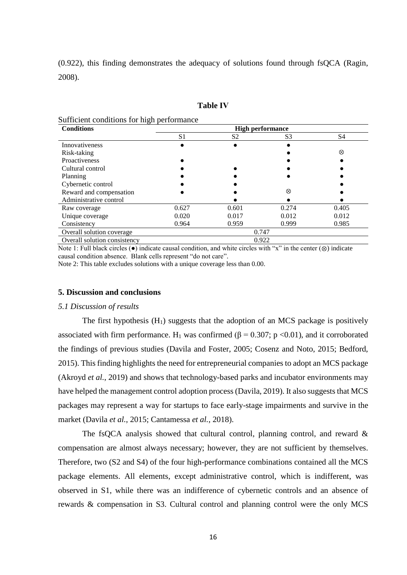(0.922), this finding demonstrates the adequacy of solutions found through fsQCA (Ragin, 2008).

#### **Table Ⅳ**

#### Sufficient conditions for high performance

| <b>Conditions</b>            | <b>High performance</b> |                |                |                |  |  |  |
|------------------------------|-------------------------|----------------|----------------|----------------|--|--|--|
|                              | S <sub>1</sub>          | S <sub>2</sub> | S <sub>3</sub> | S <sub>4</sub> |  |  |  |
| Innovativeness               |                         |                |                |                |  |  |  |
| Risk-taking                  |                         |                |                | ⊗              |  |  |  |
| Proactiveness                |                         |                |                |                |  |  |  |
| Cultural control             |                         |                |                |                |  |  |  |
| Planning                     |                         |                |                |                |  |  |  |
| Cybernetic control           |                         |                |                |                |  |  |  |
| Reward and compensation      |                         |                | ⊗              |                |  |  |  |
| Administrative control       |                         |                |                |                |  |  |  |
| Raw coverage                 | 0.627                   | 0.601          | 0.274          | 0.405          |  |  |  |
| Unique coverage              | 0.020                   | 0.017          | 0.012          | 0.012          |  |  |  |
| Consistency                  | 0.964                   | 0.959          | 0.999          | 0.985          |  |  |  |
| Overall solution coverage    |                         | 0.747          |                |                |  |  |  |
| Overall solution consistency |                         |                | 0.922          |                |  |  |  |

Note 1: Full black circles (●) indicate causal condition, and white circles with "x" in the center (⊗) indicate causal condition absence. Blank cells represent "do not care".

Note 2: This table excludes solutions with a unique coverage less than 0.00.

#### **5. Discussion and conclusions**

#### *5.1 Discussion of results*

The first hypothesis  $(H_1)$  suggests that the adoption of an MCS package is positively associated with firm performance. H<sub>1</sub> was confirmed ( $\beta$  = 0.307; p <0.01), and it corroborated the findings of previous studies (Davila and Foster, 2005; Cosenz and Noto, 2015; Bedford, 2015). This finding highlights the need for entrepreneurial companies to adopt an MCS package (Akroyd *et al.*, 2019) and shows that technology-based parks and incubator environments may have helped the management control adoption process (Davila, 2019). It also suggests that MCS packages may represent a way for startups to face early-stage impairments and survive in the market (Davila *et al.*, 2015; Cantamessa *et al.*, 2018).

The fsQCA analysis showed that cultural control, planning control, and reward  $\&$ compensation are almost always necessary; however, they are not sufficient by themselves. Therefore, two (S2 and S4) of the four high-performance combinations contained all the MCS package elements. All elements, except administrative control, which is indifferent, was observed in S1, while there was an indifference of cybernetic controls and an absence of rewards & compensation in S3. Cultural control and planning control were the only MCS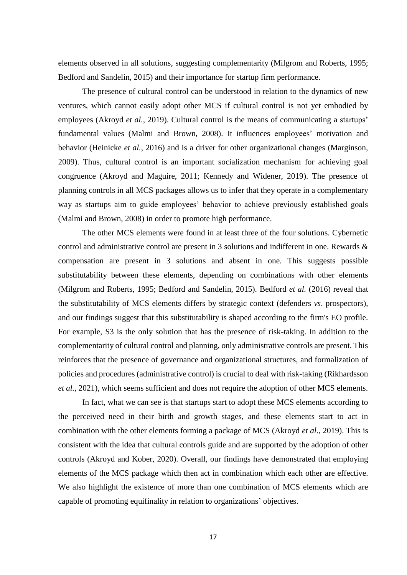elements observed in all solutions, suggesting complementarity (Milgrom and Roberts, 1995; Bedford and Sandelin, 2015) and their importance for startup firm performance.

The presence of cultural control can be understood in relation to the dynamics of new ventures, which cannot easily adopt other MCS if cultural control is not yet embodied by employees (Akroyd *et al.*, 2019). Cultural control is the means of communicating a startups' fundamental values (Malmi and Brown, 2008). It influences employees' motivation and behavior (Heinicke *et al.*, 2016) and is a driver for other organizational changes (Marginson, 2009). Thus, cultural control is an important socialization mechanism for achieving goal congruence (Akroyd and Maguire, 2011; Kennedy and Widener, 2019). The presence of planning controls in all MCS packages allows us to infer that they operate in a complementary way as startups aim to guide employees' behavior to achieve previously established goals (Malmi and Brown, 2008) in order to promote high performance.

The other MCS elements were found in at least three of the four solutions. Cybernetic control and administrative control are present in 3 solutions and indifferent in one. Rewards & compensation are present in 3 solutions and absent in one. This suggests possible substitutability between these elements, depending on combinations with other elements (Milgrom and Roberts, 1995; Bedford and Sandelin, 2015). Bedford *et al.* (2016) reveal that the substitutability of MCS elements differs by strategic context (defenders *vs*. prospectors), and our findings suggest that this substitutability is shaped according to the firm's EO profile. For example, S3 is the only solution that has the presence of risk-taking. In addition to the complementarity of cultural control and planning, only administrative controls are present. This reinforces that the presence of governance and organizational structures, and formalization of policies and procedures (administrative control) is crucial to deal with risk-taking (Rikhardsson *et al.*, 2021), which seems sufficient and does not require the adoption of other MCS elements.

In fact, what we can see is that startups start to adopt these MCS elements according to the perceived need in their birth and growth stages, and these elements start to act in combination with the other elements forming a package of MCS (Akroyd *et al*., 2019). This is consistent with the idea that cultural controls guide and are supported by the adoption of other controls (Akroyd and Kober, 2020). Overall, our findings have demonstrated that employing elements of the MCS package which then act in combination which each other are effective. We also highlight the existence of more than one combination of MCS elements which are capable of promoting equifinality in relation to organizations' objectives.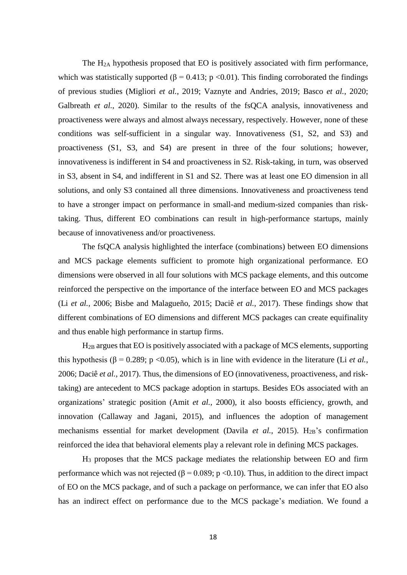The H2A hypothesis proposed that EO is positively associated with firm performance, which was statistically supported ( $\beta$  = 0.413; p < 0.01). This finding corroborated the findings of previous studies (Migliori *et al.*, 2019; Vaznyte and Andries, 2019; Basco *et al.*, 2020; Galbreath *et al.*, 2020). Similar to the results of the fsQCA analysis, innovativeness and proactiveness were always and almost always necessary, respectively. However, none of these conditions was self-sufficient in a singular way. Innovativeness (S1, S2, and S3) and proactiveness (S1, S3, and S4) are present in three of the four solutions; however, innovativeness is indifferent in S4 and proactiveness in S2. Risk-taking, in turn, was observed in S3, absent in S4, and indifferent in S1 and S2. There was at least one EO dimension in all solutions, and only S3 contained all three dimensions. Innovativeness and proactiveness tend to have a stronger impact on performance in small-and medium-sized companies than risktaking. Thus, different EO combinations can result in high-performance startups, mainly because of innovativeness and/or proactiveness.

The fsQCA analysis highlighted the interface (combinations) between EO dimensions and MCS package elements sufficient to promote high organizational performance. EO dimensions were observed in all four solutions with MCS package elements, and this outcome reinforced the perspective on the importance of the interface between EO and MCS packages (Li *et al.*, 2006; Bisbe and Malagueño, 2015; Daciê *et al.*, 2017). These findings show that different combinations of EO dimensions and different MCS packages can create equifinality and thus enable high performance in startup firms.

H2B argues that EO is positively associated with a package of MCS elements, supporting this hypothesis ( $\beta$  = 0.289; p < 0.05), which is in line with evidence in the literature (Li *et al.*, 2006; Daciê *et al.*, 2017). Thus, the dimensions of EO (innovativeness, proactiveness, and risktaking) are antecedent to MCS package adoption in startups. Besides EOs associated with an organizations' strategic position (Amit *et al.*, 2000), it also boosts efficiency, growth, and innovation (Callaway and Jagani, 2015), and influences the adoption of management mechanisms essential for market development (Davila *et al.*, 2015). H<sub>2B</sub>'s confirmation reinforced the idea that behavioral elements play a relevant role in defining MCS packages.

H<sup>3</sup> proposes that the MCS package mediates the relationship between EO and firm performance which was not rejected ( $\beta$  = 0.089; p <0.10). Thus, in addition to the direct impact of EO on the MCS package, and of such a package on performance, we can infer that EO also has an indirect effect on performance due to the MCS package's mediation. We found a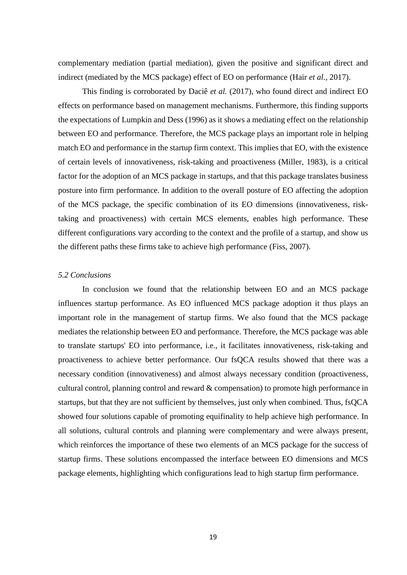complementary mediation (partial mediation), given the positive and significant direct and indirect (mediated by the MCS package) effect of EO on performance (Hair *et al.*, 2017).

This finding is corroborated by Daciê *et al.* (2017), who found direct and indirect EO effects on performance based on management mechanisms. Furthermore, this finding supports the expectations of Lumpkin and Dess (1996) as it shows a mediating effect on the relationship between EO and performance. Therefore, the MCS package plays an important role in helping match EO and performance in the startup firm context. This implies that EO, with the existence of certain levels of innovativeness, risk-taking and proactiveness (Miller, 1983), is a critical factor for the adoption of an MCS package in startups, and that this package translates business posture into firm performance. In addition to the overall posture of EO affecting the adoption of the MCS package, the specific combination of its EO dimensions (innovativeness, risktaking and proactiveness) with certain MCS elements, enables high performance. These different configurations vary according to the context and the profile of a startup, and show us the different paths these firms take to achieve high performance (Fiss, 2007).

#### *5.2 Conclusions*

In conclusion we found that the relationship between EO and an MCS package influences startup performance. As EO influenced MCS package adoption it thus plays an important role in the management of startup firms. We also found that the MCS package mediates the relationship between EO and performance. Therefore, the MCS package was able to translate startups' EO into performance, i.e., it facilitates innovativeness, risk-taking and proactiveness to achieve better performance. Our fsQCA results showed that there was a necessary condition (innovativeness) and almost always necessary condition (proactiveness, cultural control, planning control and reward & compensation) to promote high performance in startups, but that they are not sufficient by themselves, just only when combined. Thus, fsQCA showed four solutions capable of promoting equifinality to help achieve high performance. In all solutions, cultural controls and planning were complementary and were always present, which reinforces the importance of these two elements of an MCS package for the success of startup firms. These solutions encompassed the interface between EO dimensions and MCS package elements, highlighting which configurations lead to high startup firm performance.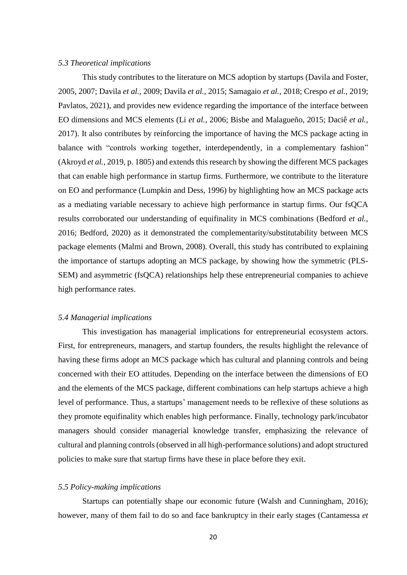# *5.3 Theoretical implications*

This study contributes to the literature on MCS adoption by startups (Davila and Foster, 2005, 2007; Davila *et al.*, 2009; Davila *et al.*, 2015; Samagaio *et al.*, 2018; Crespo *et al.*, 2019; Pavlatos, 2021), and provides new evidence regarding the importance of the interface between EO dimensions and MCS elements (Li *et al.*, 2006; Bisbe and Malagueño, 2015; Daciê *et al.*, 2017). It also contributes by reinforcing the importance of having the MCS package acting in balance with "controls working together, interdependently, in a complementary fashion" (Akroyd *et al.*, 2019, p. 1805) and extends this research by showing the different MCS packages that can enable high performance in startup firms. Furthermore, we contribute to the literature on EO and performance (Lumpkin and Dess, 1996) by highlighting how an MCS package acts as a mediating variable necessary to achieve high performance in startup firms. Our fsQCA results corroborated our understanding of equifinality in MCS combinations (Bedford *et al.*, 2016; Bedford, 2020) as it demonstrated the complementarity/substitutability between MCS package elements (Malmi and Brown, 2008). Overall, this study has contributed to explaining the importance of startups adopting an MCS package, by showing how the symmetric (PLS-SEM) and asymmetric (fsQCA) relationships help these entrepreneurial companies to achieve high performance rates.

#### *5.4 Managerial implications*

This investigation has managerial implications for entrepreneurial ecosystem actors. First, for entrepreneurs, managers, and startup founders, the results highlight the relevance of having these firms adopt an MCS package which has cultural and planning controls and being concerned with their EO attitudes. Depending on the interface between the dimensions of EO and the elements of the MCS package, different combinations can help startups achieve a high level of performance. Thus, a startups' management needs to be reflexive of these solutions as they promote equifinality which enables high performance. Finally, technology park/incubator managers should consider managerial knowledge transfer, emphasizing the relevance of cultural and planning controls (observed in all high-performance solutions) and adopt structured policies to make sure that startup firms have these in place before they exit.

# *5.5 Policy-making implications*

Startups can potentially shape our economic future (Walsh and Cunningham, 2016); however, many of them fail to do so and face bankruptcy in their early stages (Cantamessa *et*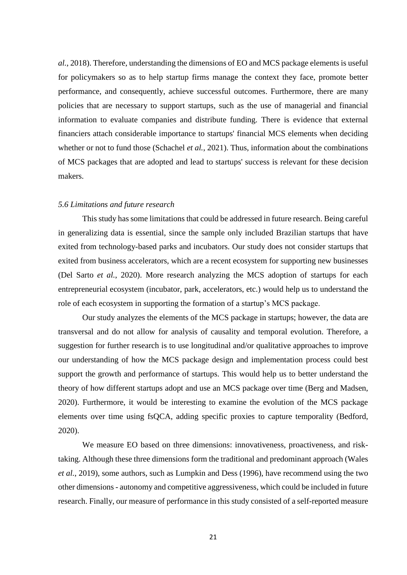*al.*, 2018). Therefore, understanding the dimensions of EO and MCS package elements is useful for policymakers so as to help startup firms manage the context they face, promote better performance, and consequently, achieve successful outcomes. Furthermore, there are many policies that are necessary to support startups, such as the use of managerial and financial information to evaluate companies and distribute funding. There is evidence that external financiers attach considerable importance to startups' financial MCS elements when deciding whether or not to fund those (Schachel *et al.*, 2021). Thus, information about the combinations of MCS packages that are adopted and lead to startups' success is relevant for these decision makers.

#### *5.6 Limitations and future research*

This study has some limitations that could be addressed in future research. Being careful in generalizing data is essential, since the sample only included Brazilian startups that have exited from technology-based parks and incubators. Our study does not consider startups that exited from business accelerators, which are a recent ecosystem for supporting new businesses (Del Sarto *et al.*, 2020). More research analyzing the MCS adoption of startups for each entrepreneurial ecosystem (incubator, park, accelerators, etc.) would help us to understand the role of each ecosystem in supporting the formation of a startup's MCS package.

Our study analyzes the elements of the MCS package in startups; however, the data are transversal and do not allow for analysis of causality and temporal evolution. Therefore, a suggestion for further research is to use longitudinal and/or qualitative approaches to improve our understanding of how the MCS package design and implementation process could best support the growth and performance of startups. This would help us to better understand the theory of how different startups adopt and use an MCS package over time (Berg and Madsen, 2020). Furthermore, it would be interesting to examine the evolution of the MCS package elements over time using fsQCA, adding specific proxies to capture temporality (Bedford, 2020).

We measure EO based on three dimensions: innovativeness, proactiveness, and risktaking. Although these three dimensions form the traditional and predominant approach (Wales *et al.*, 2019), some authors, such as Lumpkin and Dess (1996), have recommend using the two other dimensions - autonomy and competitive aggressiveness, which could be included in future research. Finally, our measure of performance in this study consisted of a self-reported measure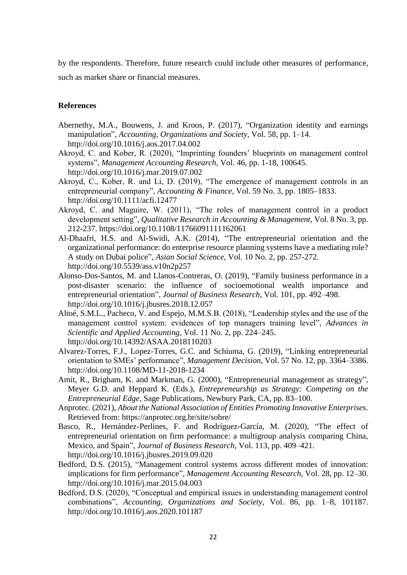by the respondents. Therefore, future research could include other measures of performance, such as market share or financial measures.

# **References**

- Abernethy, M.A., Bouwens, J. and Kroos, P. (2017), "Organization identity and earnings manipulation", *Accounting, Organizations and Society,* Vol. 58, pp. 1–14. http://doi.org/10.1016/j.aos.2017.04.002
- Akroyd, C. and Kober, R. (2020), "Imprinting founders' blueprints on management control systems", *Management Accounting Research*, Vol. 46, pp. 1-18, 100645. http://doi.org/10.1016/j.mar.2019.07.002
- Akroyd, C., Kober, R. and Li, D. (2019), "The emergence of management controls in an entrepreneurial company", *Accounting & Finance*, Vol. 59 No. 3, pp. 1805–1833. http://doi.org/10.1111/acfi.12477
- Akroyd, C. and Maguire, W. (2011), "The roles of management control in a product development setting", *Qualitative Research in Accounting & Management*, Vol. 8 No. 3, pp. 212-237. https://doi.org/10.1108/11766091111162061
- Al-Dhaafri, H.S. and Al-Swidi, A.K. (2014), "The entrepreneurial orientation and the organizational performance: do enterprise resource planning systems have a mediating role? A study on Dubai police", *Asian Social Science*, Vol. 10 No. 2, pp. 257-272. http://doi.org/10.5539/ass.v10n2p257
- Alonso-Dos-Santos, M. and Llanos-Contreras, O. (2019), "Family business performance in a post-disaster scenario: the influence of socioemotional wealth importance and entrepreneurial orientation", *Journal of Business Research*, Vol. 101, pp. 492–498. http://doi.org/10.1016/j.jbusres.2018.12.057
- Altoé, S.M.L., Pacheco, V. and Espejo, M.M.S.B. (2018), "Leadership styles and the use of the management control system: evidences of top managers training level", *Advances in Scientific and Applied Accounting*, Vol. 11 No. 2, pp. 224–245. http://doi.org/10.14392/ASAA.2018110203
- Alvarez-Torres, F.J., Lopez-Torres, G.C. and Schiuma, G. (2019), "Linking entrepreneurial orientation to SMEs' performance", *Management Decision,* Vol. 57 No. 12, pp. 3364–3386. http://doi.org/10.1108/MD-11-2018-1234
- Amit, R., Brigham, K. and Markman, G. (2000), "Entrepreneurial management as strategy", Meyer G.D. and Heppard K. (Eds.), *Entrepreneurship as Strategy: Competing on the Entrepreneurial Edge*, Sage Publications, Newbury Park, CA, pp. 83–100.
- Anprotec. (2021), *About the National Association of Entities Promoting Innovative Enterprises*. Retrieved from: https://anprotec.org.br/site/sobre/
- Basco, R., Hernández-Perlines, F. and Rodríguez-García, M. (2020), "The effect of entrepreneurial orientation on firm performance: a multigroup analysis comparing China, Mexico, and Spain", *Journal of Business Research*, Vol. 113, pp. 409–421. http://doi.org/10.1016/j.jbusres.2019.09.020
- Bedford, D.S. (2015), "Management control systems across different modes of innovation: implications for firm performance", *Management Accounting Research*, Vol. 28, pp. 12–30. http://doi.org/10.1016/j.mar.2015.04.003
- Bedford, D.S. (2020), "Conceptual and empirical issues in understanding management control combinations", *Accounting, Organizations and Society*, Vol. 86, pp. 1–8, 101187. http://doi.org/10.1016/j.aos.2020.101187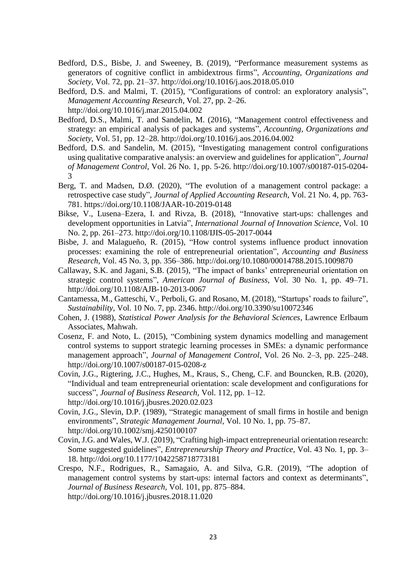- Bedford, D.S., Bisbe, J. and Sweeney, B. (2019), "Performance measurement systems as generators of cognitive conflict in ambidextrous firms", *Accounting, Organizations and Society,* Vol. 72, pp. 21–37. http://doi.org/10.1016/j.aos.2018.05.010
- Bedford, D.S. and Malmi, T. (2015), "Configurations of control: an exploratory analysis", *Management Accounting Research*, Vol. 27, pp. 2–26. http://doi.org/10.1016/j.mar.2015.04.002
- Bedford, D.S., Malmi, T. and Sandelin, M. (2016), "Management control effectiveness and strategy: an empirical analysis of packages and systems", *Accounting, Organizations and Society*, Vol. 51, pp. 12–28. http://doi.org/10.1016/j.aos.2016.04.002
- Bedford, D.S. and Sandelin, M. (2015), "Investigating management control configurations using qualitative comparative analysis: an overview and guidelines for application", *Journal of Management Control*, Vol. 26 No. 1, pp. 5-26. http://doi.org/10.1007/s00187-015-0204- 3
- Berg, T. and Madsen, D.Ø. (2020), "The evolution of a management control package: a retrospective case study", *Journal of Applied Accounting Research*, Vol. 21 No. 4, pp. 763- 781. https://doi.org/10.1108/JAAR-10-2019-0148
- Bikse, V., Lusena–Ezera, I. and Rivza, B. (2018), "Innovative start-ups: challenges and development opportunities in Latvia", *International Journal of Innovation Science*, Vol. 10 No. 2, pp. 261–273. http://doi.org/10.1108/IJIS-05-2017-0044
- Bisbe, J. and Malagueño, R. (2015), "How control systems influence product innovation processes: examining the role of entrepreneurial orientation", *Accounting and Business Research*, Vol. 45 No. 3, pp. 356–386. http://doi.org/10.1080/00014788.2015.1009870
- Callaway, S.K. and Jagani, S.B. (2015), "The impact of banks' entrepreneurial orientation on strategic control systems", *American Journal of Business*, Vol. 30 No. 1, pp. 49–71. http://doi.org/10.1108/AJB-10-2013-0067
- Cantamessa, M., Gatteschi, V., Perboli, G. and Rosano, M. (2018), "Startups' roads to failure", *Sustainability*, Vol. 10 No. 7, pp. 2346. http://doi.org/10.3390/su10072346
- Cohen, J. (1988), *Statistical Power Analysis for the Behavioral Sciences*, Lawrence Erlbaum Associates, Mahwah.
- Cosenz, F. and Noto, L. (2015), "Combining system dynamics modelling and management control systems to support strategic learning processes in SMEs: a dynamic performance management approach", *Journal of Management Control*, Vol. 26 No. 2–3, pp. 225–248. http://doi.org/10.1007/s00187-015-0208-z
- Covin, J.G., Rigtering, J.C., Hughes, M., Kraus, S., Cheng, C.F. and Bouncken, R.B. (2020), "Individual and team entrepreneurial orientation: scale development and configurations for success", *Journal of Business Research*, Vol. 112, pp. 1–12. http://doi.org/10.1016/j.jbusres.2020.02.023
- Covin, J.G., Slevin, D.P. (1989), "Strategic management of small firms in hostile and benign environments", *Strategic Management Journal,* Vol. 10 No. 1, pp. 75–87. http://doi.org/10.1002/smj.4250100107
- Covin, J.G. and Wales, W.J. (2019), "Crafting high-impact entrepreneurial orientation research: Some suggested guidelines", *Entrepreneurship Theory and Practice*, Vol. 43 No. 1, pp. 3– 18. http://doi.org/10.1177/1042258718773181
- Crespo, N.F., Rodrigues, R., Samagaio, A. and Silva, G.R. (2019), "The adoption of management control systems by start-ups: internal factors and context as determinants", *Journal of Business Research*, Vol. 101, pp. 875–884. http://doi.org/10.1016/j.jbusres.2018.11.020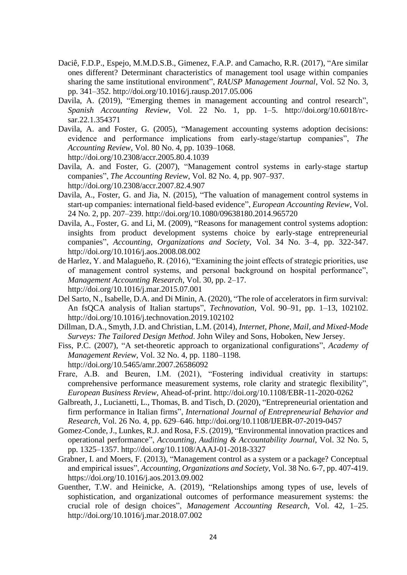- Daciê, F.D.P., Espejo, M.M.D.S.B., Gimenez, F.A.P. and Camacho, R.R. (2017), "Are similar ones different? Determinant characteristics of management tool usage within companies sharing the same institutional environment", *RAUSP Management Journal*, Vol. 52 No. 3, pp. 341–352. http://doi.org/10.1016/j.rausp.2017.05.006
- Davila, A. (2019), "Emerging themes in management accounting and control research", *Spanish Accounting Review*, Vol. 22 No. 1, pp. 1–5. http://doi.org/10.6018/rcsar.22.1.354371
- Davila, A. and Foster, G. (2005), "Management accounting systems adoption decisions: evidence and performance implications from early‐stage/startup companies", *The Accounting Review*, Vol. 80 No. 4, pp. 1039–1068. http://doi.org/10.2308/accr.2005.80.4.1039
- Davila, A. and Foster, G. (2007), "Management control systems in early-stage startup companies", *The Accounting Review*, Vol. 82 No. 4, pp. 907–937. http://doi.org/10.2308/accr.2007.82.4.907
- Davila, A., Foster, G. and Jia, N. (2015), "The valuation of management control systems in start-up companies: international field-based evidence", *European Accounting Review*, Vol. 24 No. 2, pp. 207–239. http://doi.org/10.1080/09638180.2014.965720
- Davila, A., Foster, G. and Li, M. (2009), "Reasons for management control systems adoption: insights from product development systems choice by early-stage entrepreneurial companies", *Accounting, Organizations and Society*, Vol. 34 No. 3–4, pp. 322-347. http://doi.org/10.1016/j.aos.2008.08.002
- de Harlez, Y. and Malagueño, R. (2016), "Examining the joint effects of strategic priorities, use of management control systems, and personal background on hospital performance", *Management Accounting Research,* Vol. 30, pp. 2–17. http://doi.org/10.1016/j.mar.2015.07.001
- Del Sarto, N., Isabelle, D.A. and Di Minin, A. (2020), "The role of accelerators in firm survival: An fsQCA analysis of Italian startups", *Technovation*, Vol. 90–91, pp. 1–13, 102102. http://doi.org/10.1016/j.technovation.2019.102102
- Dillman, D.A., Smyth, J.D. and Christian, L.M. (2014), *Internet, Phone, Mail, and Mixed-Mode Surveys: The Tailored Design Method*. John Wiley and Sons, Hoboken, New Jersey.
- Fiss, P.C. (2007), "A set-theoretic approach to organizational configurations", *Academy of Management Review*, Vol. 32 No. 4, pp. 1180–1198. http://doi.org/10.5465/amr.2007.26586092
- Frare, A.B. and Beuren, I.M. (2021), "Fostering individual creativity in startups: comprehensive performance measurement systems, role clarity and strategic flexibility", *European Business Review*, Ahead-of-print. http://doi.org/10.1108/EBR-11-2020-0262
- Galbreath, J., Lucianetti, L., Thomas, B. and Tisch, D. (2020), "Entrepreneurial orientation and firm performance in Italian firms", *International Journal of Entrepreneurial Behavior and Research*, Vol. 26 No. 4, pp. 629–646. http://doi.org/10.1108/IJEBR-07-2019-0457
- Gomez-Conde, J., Lunkes, R.J. and Rosa, F.S. (2019), "Environmental innovation practices and operational performance", *Accounting, Auditing & Accountability Journal*, Vol. 32 No. 5, pp. 1325–1357. http://doi.org/10.1108/AAAJ-01-2018-3327
- Grabner, I. and Moers, F. (2013), "Management control as a system or a package? Conceptual and empirical issues", *Accounting, Organizations and Society*, Vol. 38 No. 6-7, pp. 407-419. https://doi.org/10.1016/j.aos.2013.09.002
- Guenther, T.W. and Heinicke, A. (2019), "Relationships among types of use, levels of sophistication, and organizational outcomes of performance measurement systems: the crucial role of design choices", *Management Accounting Research,* Vol. 42, 1–25. http://doi.org/10.1016/j.mar.2018.07.002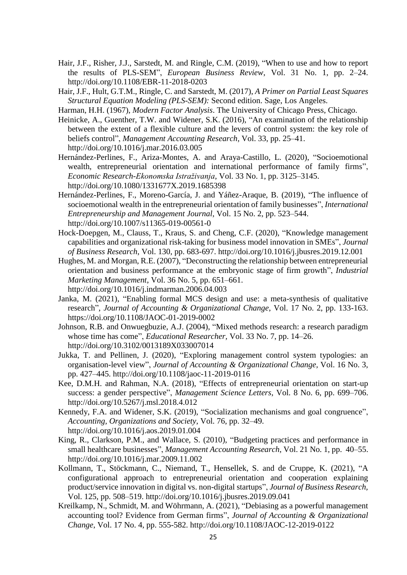- Hair, J.F., Risher, J.J., Sarstedt, M. and Ringle, C.M. (2019), "When to use and how to report the results of PLS-SEM", *European Business Review*, Vol. 31 No. 1, pp. 2–24. http://doi.org/10.1108/EBR-11-2018-0203
- Hair, J.F., Hult, G.T.M., Ringle, C. and Sarstedt, M. (2017), *A Primer on Partial Least Squares Structural Equation Modeling (PLS-SEM):* Second edition. Sage, Los Angeles.
- Harman, H.H. (1967), *Modern Factor Analysis*. The University of Chicago Press, Chicago.
- Heinicke, A., Guenther, T.W. and Widener, S.K. (2016), "An examination of the relationship between the extent of a flexible culture and the levers of control system: the key role of beliefs control", *Management Accounting Research*, Vol. 33, pp. 25–41. http://doi.org/10.1016/j.mar.2016.03.005
- Hernández-Perlines, F., Ariza-Montes, A. and Araya-Castillo, L. (2020), "Socioemotional wealth, entrepreneurial orientation and international performance of family firms", *Economic Research-Ekonomska Istraživanja*, Vol. 33 No. 1, pp. 3125–3145. http://doi.org/10.1080/1331677X.2019.1685398
- Hernández-Perlines, F., Moreno-García, J. and Yáñez-Araque, B. (2019), "The influence of socioemotional wealth in the entrepreneurial orientation of family businesses", *International Entrepreneurship and Management Journal*, Vol. 15 No. 2, pp. 523–544. http://doi.org/10.1007/s11365-019-00561-0
- Hock-Doepgen, M., Clauss, T., Kraus, S. and Cheng, C.F. (2020), "Knowledge management capabilities and organizational risk-taking for business model innovation in SMEs", *Journal of Business Research*, Vol. 130, pp. 683-697. http://doi.org/10.1016/j.jbusres.2019.12.001
- Hughes, M. and Morgan, R.E. (2007), "Deconstructing the relationship between entrepreneurial orientation and business performance at the embryonic stage of firm growth", *Industrial Marketing Management*, Vol. 36 No. 5, pp. 651–661. http://doi.org/10.1016/j.indmarman.2006.04.003
- Janka, M. (2021), "Enabling formal MCS design and use: a meta-synthesis of qualitative research", *Journal of Accounting & Organizational Change*, Vol. 17 No. 2, pp. 133-163. https://doi.org/10.1108/JAOC-01-2019-0002
- Johnson, R.B. and Onwuegbuzie, A.J. (2004), "Mixed methods research: a research paradigm whose time has come", *Educational Researcher,* Vol. 33 No. 7, pp. 14–26. http://doi.org/10.3102/0013189X033007014
- Jukka, T. and Pellinen, J. (2020), "Exploring management control system typologies: an organisation-level view", *Journal of Accounting & Organizational Change,* Vol. 16 No. 3, pp. 427–445. http://doi.org/10.1108/jaoc-11-2019-0116
- Kee, D.M.H. and Rahman, N.A. (2018), "Effects of entrepreneurial orientation on start-up success: a gender perspective", *Management Science Letters*, Vol. 8 No. 6, pp. 699–706. http://doi.org/10.5267/j.msl.2018.4.012
- Kennedy, F.A. and Widener, S.K. (2019), "Socialization mechanisms and goal congruence", *Accounting, Organizations and Society*, Vol. 76, pp. 32–49. http://doi.org/10.1016/j.aos.2019.01.004
- King, R., Clarkson, P.M., and Wallace, S. (2010), "Budgeting practices and performance in small healthcare businesses", *Management Accounting Research*, Vol. 21 No. 1, pp. 40–55. http://doi.org/10.1016/j.mar.2009.11.002
- Kollmann, T., Stöckmann, C., Niemand, T., Hensellek, S. and de Cruppe, K. (2021), "A configurational approach to entrepreneurial orientation and cooperation explaining product/service innovation in digital vs. non-digital startups", *Journal of Business Research,*  Vol. 125, pp. 508–519. http://doi.org/10.1016/j.jbusres.2019.09.041
- Kreilkamp, N., Schmidt, M. and Wöhrmann, A. (2021), "Debiasing as a powerful management accounting tool? Evidence from German firms", *Journal of Accounting & Organizational Change*, Vol. 17 No. 4, pp. 555-582. http://doi.org/10.1108/JAOC-12-2019-0122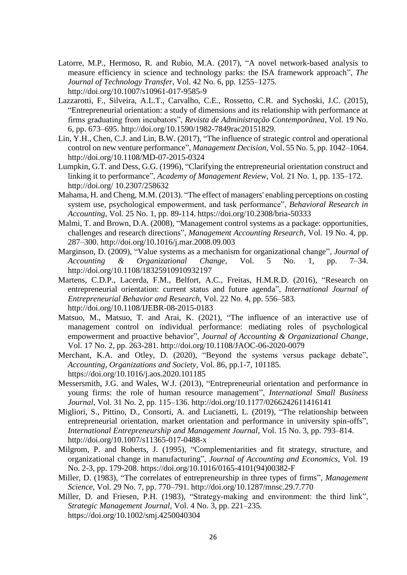- Latorre, M.P., Hermoso, R. and Rubio, M.A. (2017), "A novel network-based analysis to measure efficiency in science and technology parks: the ISA framework approach", *The Journal of Technology Transfer*, Vol. 42 No. 6, pp. 1255–1275. http://doi.org/10.1007/s10961-017-9585-9
- Lazzarotti, F., Silveira, A.L.T., Carvalho, C.E., Rossetto, C.R. and Sychoski, J.C. (2015), "Entrepreneurial orientation: a study of dimensions and its relationship with performance at firms graduating from incubators", *Revista de Administração Contemporânea*, Vol. 19 No. 6, pp. 673–695. http://doi.org/10.1590/1982-7849rac20151829.
- Lin, Y.H., Chen, C.J. and Lin, B.W. (2017), "The influence of strategic control and operational control on new venture performance", *Management Decision*, Vol. 55 No. 5, pp. 1042–1064. http://doi.org/10.1108/MD-07-2015-0324
- Lumpkin, G.T. and Dess, G.G. (1996), "Clarifying the entrepreneurial orientation construct and linking it to performance", *Academy of Management Review*, Vol. 21 No. 1, pp. 135–172. http://doi.org/ 10.2307/258632
- Mahama, H. and Cheng, M.M. (2013). "The effect of managers' enabling perceptions on costing system use, psychological empowerment, and task performance", *Behavioral Research in Accounting*, Vol. 25 No. 1, pp. 89-114. https://doi.org/10.2308/bria-50333
- Malmi, T. and Brown, D.A. (2008), "Management control systems as a package: opportunities, challenges and research directions", *Management Accounting Research*, Vol. 19 No. 4, pp. 287–300. http://doi.org/10.1016/j.mar.2008.09.003
- Marginson, D. (2009), "Value systems as a mechanism for organizational change", *Journal of Accounting & Organizational Change*, Vol. 5 No. 1, pp. 7–34. http://doi.org/10.1108/18325910910932197
- Martens, C.D.P., Lacerda, F.M., Belfort, A.C., Freitas, H.M.R.D. (2016), "Research on entrepreneurial orientation: current status and future agenda", *International Journal of Entrepreneurial Behavior and Research*, Vol. 22 No. 4, pp. 556–583. http://doi.org/10.1108/IJEBR-08-2015-0183
- Matsuo, M., Matsuo, T. and Arai, K. (2021), "The influence of an interactive use of management control on individual performance: mediating roles of psychological empowerment and proactive behavior", *Journal of Accounting & Organizational Change*, Vol. 17 No. 2, pp. 263-281. http://doi.org/10.1108/JAOC-06-2020-0079
- Merchant, K.A. and Otley, D. (2020), "Beyond the systems versus package debate", *Accounting, Organizations and Society*, Vol. 86, pp.1-7, 101185. https://doi.org/10.1016/j.aos.2020.101185
- Messersmith, J.G. and Wales, W.J. (2013), "Entrepreneurial orientation and performance in young firms: the role of human resource management", *International Small Business Journal*, Vol. 31 No. 2, pp. 115–136. http://doi.org/10.1177/0266242611416141
- Migliori, S., Pittino, D., Consorti, A. and Lucianetti, L. (2019), "The relationship between entrepreneurial orientation, market orientation and performance in university spin-offs", *International Entrepreneurship and Management Journal*, Vol. 15 No. 3, pp. 793–814. http://doi.org/10.1007/s11365-017-0488-x
- Milgrom, P. and Roberts, J. (1995), "Complementarities and fit strategy, structure, and organizational change in manufacturing", *Journal of Accounting and Economics*, Vol. 19 No. 2-3, pp. 179-208. https://doi.org/10.1016/0165-4101(94)00382-F
- Miller, D. (1983), "The correlates of entrepreneurship in three types of firms", *Management Science*, Vol. 29 No. 7, pp. 770–791. http://doi.org/10.1287/mnsc.29.7.770
- Miller, D. and Friesen, P.H. (1983), "Strategy-making and environment: the third link", *Strategic Management Journal*, Vol. 4 No. 3, pp. 221–235. https://doi.org/10.1002/smj.4250040304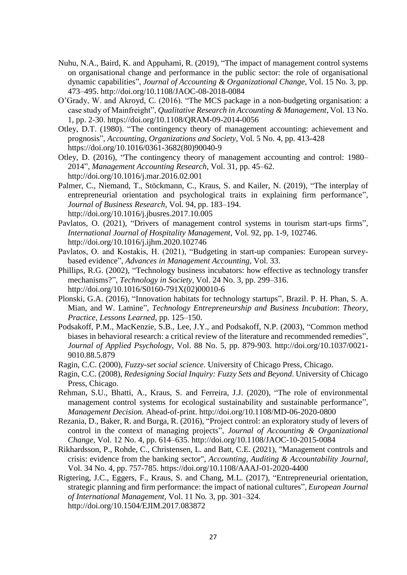- Nuhu, N.A., Baird, K. and Appuhami, R. (2019), "The impact of management control systems on organisational change and performance in the public sector: the role of organisational dynamic capabilities", *Journal of Accounting & Organizational Change,* Vol. 15 No. 3, pp. 473–495. http://doi.org/10.1108/JAOC-08-2018-0084
- O'Grady, W. and Akroyd, C. (2016). "The MCS package in a non-budgeting organisation: a case study of Mainfreight", *Qualitative Research in Accounting & Management*, Vol. 13 No. 1, pp. 2-30. https://doi.org/10.1108/QRAM-09-2014-0056
- Otley, D.T. (1980). "The contingency theory of management accounting: achievement and prognosis", *Accounting, Organizations and Society*, Vol. 5 No. 4, pp. 413-428 https://doi.org/10.1016/0361-3682(80)90040-9
- Otley, D. (2016), "The contingency theory of management accounting and control: 1980– 2014", *Management Accounting Research*, Vol. 31, pp. 45–62. http://doi.org/10.1016/j.mar.2016.02.001
- Palmer, C., Niemand, T., Stöckmann, C., Kraus, S. and Kailer, N. (2019), "The interplay of entrepreneurial orientation and psychological traits in explaining firm performance", *Journal of Business Research*, Vol. 94, pp. 183–194. http://doi.org/10.1016/j.jbusres.2017.10.005
- Pavlatos, O. (2021), "Drivers of management control systems in tourism start-ups firms", *International Journal of Hospitality Management,* Vol*.* 92, pp. 1-9, 102746. http://doi.org/10.1016/j.ijhm.2020.102746
- Pavlatos, O. and Kostakis, H. (2021), "Budgeting in start-up companies: European surveybased evidence", *Advances in Management Accounting*, Vol. 33.
- Phillips, R.G. (2002), "Technology business incubators: how effective as technology transfer mechanisms?", *Technology in Society,* Vol. 24 No. 3, pp. 299–316. http://doi.org/10.1016/S0160-791X(02)00010-6
- Plonski, G.A. (2016), "Innovation habitats for technology startups", Brazil. P. H. Phan, S. A. Mian, and W. Lamine", *Technology Entrepreneurship and Business Incubation*: *Theory, Practice, Lessons Learned*, pp. 125–150.
- Podsakoff, P.M., MacKenzie, S.B., Lee, J.Y., and Podsakoff, N.P. (2003), "Common method biases in behavioral research: a critical review of the literature and recommended remedies", *Journal of Applied Psychology*, Vol. 88 No. 5, pp. 879-903. http://doi.org/10.1037/0021- 9010.88.5.879
- Ragin, C.C. (2000), *Fuzzy-set social science*. University of Chicago Press, Chicago.
- Ragin, C.C. (2008), *Redesigning Social Inquiry: Fuzzy Sets and Beyond*. University of Chicago Press, Chicago.
- Rehman, S.U., Bhatti, A., Kraus, S. and Ferreira, J.J. (2020), "The role of environmental management control systems for ecological sustainability and sustainable performance", *Management Decision.* Ahead-of-print. http://doi.org/10.1108/MD-06-2020-0800
- Rezania, D., Baker, R. and Burga, R. (2016), "Project control: an exploratory study of levers of control in the context of managing projects", *Journal of Accounting & Organizational Change,* Vol. 12 No. 4, pp. 614–635. http://doi.org/10.1108/JAOC-10-2015-0084
- Rikhardsson, P., Rohde, C., Christensen, L. and Batt, C.E. (2021), "Management controls and crisis: evidence from the banking sector", *Accounting, Auditing & Accountability Journal*, Vol. 34 No. 4, pp. 757-785. https://doi.org/10.1108/AAAJ-01-2020-4400
- Rigtering, J.C., Eggers, F., Kraus, S. and Chang, M.L. (2017), "Entrepreneurial orientation, strategic planning and firm performance: the impact of national cultures", *European Journal of International Management,* Vol. 11 No*.* 3, pp. 301–324. http://doi.org/10.1504/EJIM.2017.083872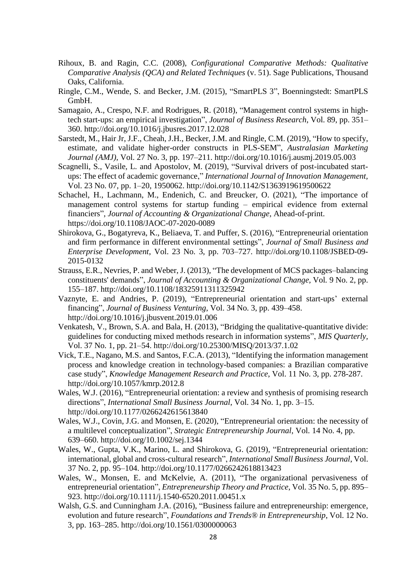- Rihoux, B. and Ragin, C.C. (2008), *Configurational Comparative Methods: Qualitative Comparative Analysis (QCA) and Related Techniques* (v. 51). Sage Publications, Thousand Oaks, California.
- Ringle, C.M., Wende, S. and Becker, J.M. (2015), "SmartPLS 3", Boenningstedt: SmartPLS GmbH.
- Samagaio, A., Crespo, N.F. and Rodrigues, R. (2018), "Management control systems in hightech start-ups: an empirical investigation", *Journal of Business Research*, Vol. 89, pp. 351– 360. http://doi.org/10.1016/j.jbusres.2017.12.028
- Sarstedt, M., Hair Jr, J.F., Cheah, J.H., Becker, J.M. and Ringle, C.M. (2019), "How to specify, estimate, and validate higher-order constructs in PLS-SEM", *Australasian Marketing Journal (AMJ),* Vol. 27 No. 3, pp. 197–211. http://doi.org/10.1016/j.ausmj.2019.05.003
- Scagnelli, S., Vasile, L. and Apostolov, M. (2019), "Survival drivers of post-incubated startups: The effect of academic governance," *International Journal of Innovation Management,*  Vol. 23 No. 07, pp. 1–20, 1950062. http://doi.org/10.1142/S1363919619500622
- Schachel, H., Lachmann, M., Endenich, C. and Breucker, O. (2021), "The importance of management control systems for startup funding – empirical evidence from external financiers", *Journal of Accounting & Organizational Change*, Ahead-of-print. https://doi.org/10.1108/JAOC-07-2020-0089
- Shirokova, G., Bogatyreva, K., Beliaeva, T. and Puffer, S. (2016), "Entrepreneurial orientation and firm performance in different environmental settings", *Journal of Small Business and Enterprise Development*, Vol. 23 No. 3, pp. 703–727. http://doi.org/10.1108/JSBED-09- 2015-0132
- Strauss, E.R., Nevries, P. and Weber, J. (2013), "The development of MCS packages–balancing constituents' demands", *Journal of Accounting & Organizational Change,* Vol*.* 9 No. 2, pp. 155–187. http://doi.org/10.1108/18325911311325942
- Vaznyte, E. and Andries, P. (2019), "Entrepreneurial orientation and start-ups' external financing", *Journal of Business Venturing*, Vol. 34 No. 3, pp. 439–458. http://doi.org/10.1016/j.jbusvent.2019.01.006
- Venkatesh, V., Brown, S.A. and Bala, H. (2013), "Bridging the qualitative-quantitative divide: guidelines for conducting mixed methods research in information systems", *MIS Quarterly,*  Vol. 37 No. 1, pp. 21–54. http://doi.org/10.25300/MISQ/2013/37.1.02
- Vick, T.E., Nagano, M.S. and Santos, F.C.A. (2013), "Identifying the information management process and knowledge creation in technology-based companies: a Brazilian comparative case study", *Knowledge Management Research and Practice*, Vol. 11 No. 3, pp. 278-287. http://doi.org/10.1057/kmrp.2012.8
- Wales, W.J. (2016), "Entrepreneurial orientation: a review and synthesis of promising research directions", *International Small Business Journal*, Vol. 34 No. 1, pp. 3–15. http://doi.org/10.1177/0266242615613840
- Wales, W.J., Covin, J.G. and Monsen, E. (2020), "Entrepreneurial orientation: the necessity of a multilevel conceptualization", *Strategic Entrepreneurship Journal*, Vol. 14 No. 4, pp. 639–660. http://doi.org/10.1002/sej.1344
- Wales, W., Gupta, V.K., Marino, L. and Shirokova, G. (2019), "Entrepreneurial orientation: international, global and cross-cultural research", *International Small Business Journal*, Vol. 37 No. 2, pp. 95–104. http://doi.org/10.1177/0266242618813423
- Wales, W., Monsen, E. and McKelvie, A. (2011), "The organizational pervasiveness of entrepreneurial orientation", *Entrepreneurship Theory and Practice*, Vol. 35 No. 5, pp. 895– 923. http://doi.org/10.1111/j.1540-6520.2011.00451.x
- Walsh, G.S. and Cunningham J.A. (2016), "Business failure and entrepreneurship: emergence, evolution and future research", *Foundations and Trends® in Entrepreneurship*, Vol. 12 No. 3, pp. 163–285. http://doi.org/10.1561/0300000063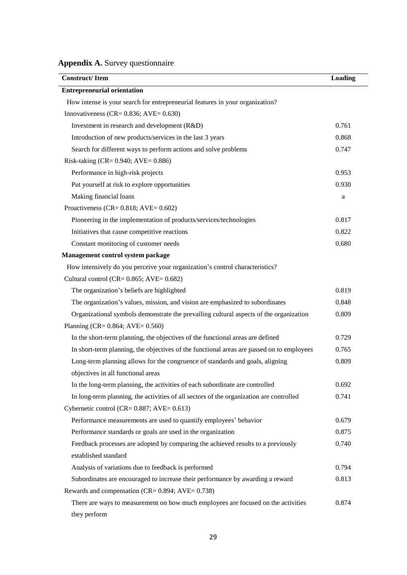**Appendix A.** Survey questionnaire

| <b>Construct/Item</b>                                                                     | Loading |
|-------------------------------------------------------------------------------------------|---------|
| <b>Entrepreneurial orientation</b>                                                        |         |
| How intense is your search for entrepreneurial features in your organization?             |         |
| Innovativeness (CR= $0.836$ ; AVE= $0.630$ )                                              |         |
| Investment in research and development (R&D)                                              | 0.761   |
| Introduction of new products/services in the last 3 years                                 | 0.868   |
| Search for different ways to perform actions and solve problems                           | 0.747   |
| Risk-taking (CR= 0.940; AVE= 0.886)                                                       |         |
| Performance in high-risk projects                                                         | 0.953   |
| Put yourself at risk to explore opportunities                                             | 0.930   |
| Making financial loans                                                                    | a       |
| Proactiveness (CR= $0.818$ ; AVE= $0.602$ )                                               |         |
| Pioneering in the implementation of products/services/technologies                        | 0.817   |
| Initiatives that cause competitive reactions                                              | 0.822   |
| Constant monitoring of customer needs                                                     | 0.680   |
| Management control system package                                                         |         |
| How intensively do you perceive your organization's control characteristics?              |         |
| Cultural control (CR= $0.865$ ; AVE= $0.682$ )                                            |         |
| The organization's beliefs are highlighted                                                | 0.819   |
| The organization's values, mission, and vision are emphasized to subordinates             | 0.848   |
| Organizational symbols demonstrate the prevailing cultural aspects of the organization    | 0.809   |
| Planning (CR= $0.864$ ; AVE= $0.560$ )                                                    |         |
| In the short-term planning, the objectives of the functional areas are defined            | 0.729   |
| In short-term planning, the objectives of the functional areas are passed on to employees | 0.765   |
| Long-term planning allows for the congruence of standards and goals, aligning             | 0.809   |
| objectives in all functional areas                                                        |         |
| In the long-term planning, the activities of each subordinate are controlled              | 0.692   |
| In long-term planning, the activities of all sectors of the organization are controlled   | 0.741   |
| Cybernetic control (CR= $0.887$ ; AVE= $0.613$ )                                          |         |
| Performance measurements are used to quantify employees' behavior                         | 0.679   |
| Performance standards or goals are used in the organization                               | 0.875   |
| Feedback processes are adopted by comparing the achieved results to a previously          | 0.740   |
| established standard                                                                      |         |
| Analysis of variations due to feedback is performed                                       | 0.794   |
| Subordinates are encouraged to increase their performance by awarding a reward            | 0.813   |
| Rewards and compensation ( $CR = 0.894$ ; AVE= 0.738)                                     |         |
| There are ways to measurement on how much employees are focused on the activities         | 0.874   |
| they perform                                                                              |         |